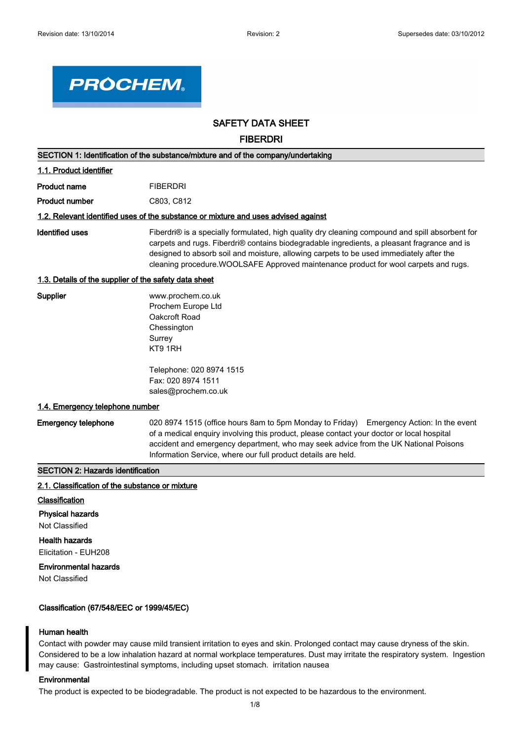

# **SAFETY DATA SHEET**

**FIBERDRI**

| SECTION 1: Identification of the substance/mixture and of the company/undertaking |                                                                                                                                                                                                                                                                                                                                                                                   |  |
|-----------------------------------------------------------------------------------|-----------------------------------------------------------------------------------------------------------------------------------------------------------------------------------------------------------------------------------------------------------------------------------------------------------------------------------------------------------------------------------|--|
| 1.1. Product identifier                                                           |                                                                                                                                                                                                                                                                                                                                                                                   |  |
| <b>Product name</b>                                                               | <b>FIBERDRI</b>                                                                                                                                                                                                                                                                                                                                                                   |  |
| <b>Product number</b>                                                             | C803, C812                                                                                                                                                                                                                                                                                                                                                                        |  |
|                                                                                   | 1.2. Relevant identified uses of the substance or mixture and uses advised against                                                                                                                                                                                                                                                                                                |  |
| <b>Identified uses</b>                                                            | Fiberdri® is a specially formulated, high quality dry cleaning compound and spill absorbent for<br>carpets and rugs. Fiberdri® contains biodegradable ingredients, a pleasant fragrance and is<br>designed to absorb soil and moisture, allowing carpets to be used immediately after the<br>cleaning procedure. WOOLSAFE Approved maintenance product for wool carpets and rugs. |  |
| 1.3. Details of the supplier of the safety data sheet                             |                                                                                                                                                                                                                                                                                                                                                                                   |  |
| Supplier                                                                          | www.prochem.co.uk<br>Prochem Europe Ltd<br>Oakcroft Road<br>Chessington<br>Surrey<br>KT9 1RH                                                                                                                                                                                                                                                                                      |  |
|                                                                                   | Telephone: 020 8974 1515<br>Fax: 020 8974 1511<br>sales@prochem.co.uk                                                                                                                                                                                                                                                                                                             |  |
| 1.4. Emergency telephone number                                                   |                                                                                                                                                                                                                                                                                                                                                                                   |  |
| <b>Emergency telephone</b>                                                        | 020 8974 1515 (office hours 8am to 5pm Monday to Friday) Emergency Action: In the event<br>of a medical enquiry involving this product, please contact your doctor or local hospital<br>accident and emergency department, who may seek advice from the UK National Poisons<br>Information Service, where our full product details are held.                                      |  |

# **SECTION 2: Hazards identification**

#### **2.1. Classification of the substance or mixture**

- **Classification**
- **Physical hazards**

Not Classified

# **Health hazards**

Elicitation - EUH208

# **Environmental hazards**

Not Classified

# **Classification (67/548/EEC or 1999/45/EC)**

# **Human health**

Contact with powder may cause mild transient irritation to eyes and skin. Prolonged contact may cause dryness of the skin. Considered to be a low inhalation hazard at normal workplace temperatures. Dust may irritate the respiratory system. Ingestion may cause: Gastrointestinal symptoms, including upset stomach. irritation nausea

# **Environmental**

The product is expected to be biodegradable. The product is not expected to be hazardous to the environment.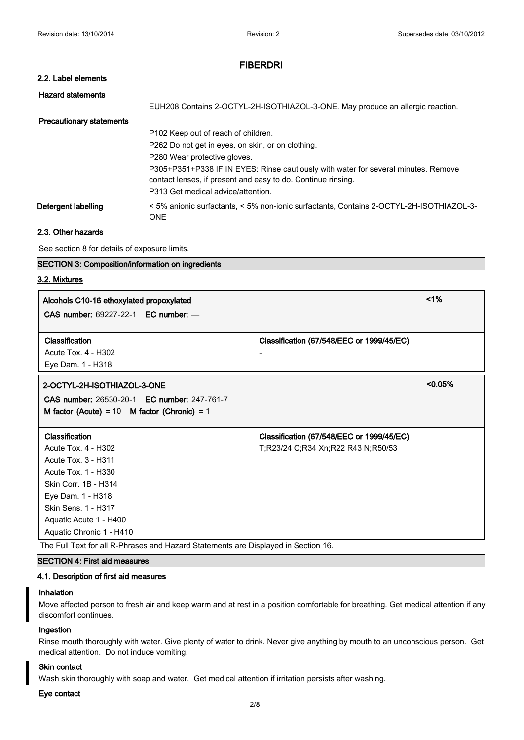#### **2.2. Label elements**

| <b>Hazard statements</b>        |                                                                                                     |
|---------------------------------|-----------------------------------------------------------------------------------------------------|
|                                 | EUH208 Contains 2-OCTYL-2H-ISOTHIAZOL-3-ONE. May produce an allergic reaction.                      |
| <b>Precautionary statements</b> |                                                                                                     |
|                                 | P <sub>102</sub> Keep out of reach of children.                                                     |
|                                 | P262 Do not get in eyes, on skin, or on clothing.                                                   |
|                                 | P280 Wear protective gloves.                                                                        |
|                                 | P305+P351+P338 IF IN EYES: Rinse cautiously with water for several minutes. Remove                  |
|                                 | contact lenses, if present and easy to do. Continue rinsing.                                        |
|                                 | P313 Get medical advice/attention.                                                                  |
| Detergent labelling             | <5% anionic surfactants, <5% non-ionic surfactants, Contains 2-OCTYL-2H-ISOTHIAZOL-3-<br><b>ONE</b> |

# **2.3. Other hazards**

See section 8 for details of exposure limits.

# **SECTION 3: Composition/information on ingredients**

# **3.2. Mixtures**

**Alcohols C10-16 ethoxylated propoxylated <1% CAS number:** 69227-22-1 **EC number:** —

### **Classification Classification (67/548/EEC or 1999/45/EC)**

Acute Tox. 4 - H302 - Eye Dam. 1 - H318

# **2-OCTYL-2H-ISOTHIAZOL-3-ONE <0.05%**

**CAS number:** 26530-20-1 **EC number:** 247-761-7 **M factor (Acute) =** 10 **M factor (Chronic) =** 1

Acute Tox. 3 - H311 Acute Tox. 1 - H330 Skin Corr. 1B - H314 Eye Dam. 1 - H318 Skin Sens. 1 - H317 Aquatic Acute 1 - H400 Aquatic Chronic 1 - H410

The Full Text for all R-Phrases and Hazard Statements are Displayed in Section 16.

# **SECTION 4: First aid measures**

# **4.1. Description of first aid measures**

#### **Inhalation**

Move affected person to fresh air and keep warm and at rest in a position comfortable for breathing. Get medical attention if any discomfort continues.

#### **Ingestion**

Rinse mouth thoroughly with water. Give plenty of water to drink. Never give anything by mouth to an unconscious person. Get medical attention. Do not induce vomiting.

#### **Skin contact**

Wash skin thoroughly with soap and water. Get medical attention if irritation persists after washing.

# **Eye contact**

# **Classification Classification (67/548/EEC or 1999/45/EC)**

Acute Tox. 4 - H302 T;R23/24 C;R34 Xn;R22 R43 N;R50/53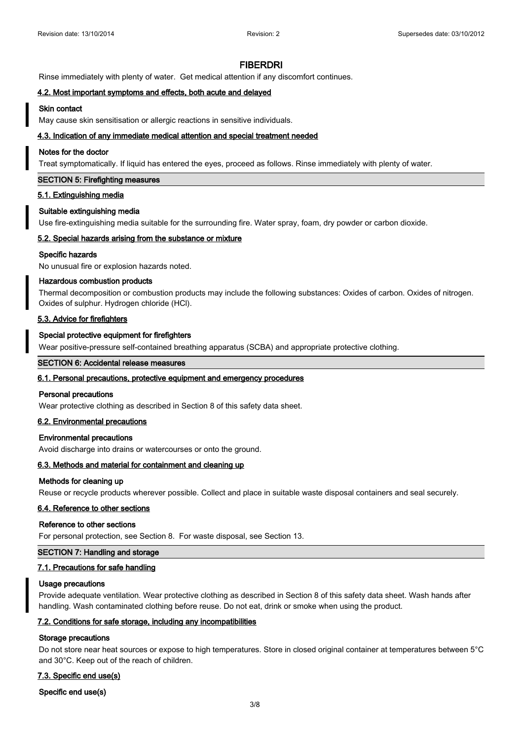Rinse immediately with plenty of water. Get medical attention if any discomfort continues.

#### **4.2. Most important symptoms and effects, both acute and delayed**

#### **Skin contact**

May cause skin sensitisation or allergic reactions in sensitive individuals.

#### **4.3. Indication of any immediate medical attention and special treatment needed**

#### **Notes for the doctor**

Treat symptomatically. If liquid has entered the eyes, proceed as follows. Rinse immediately with plenty of water.

#### **SECTION 5: Firefighting measures**

#### **5.1. Extinguishing media**

#### **Suitable extinguishing media**

Use fire-extinguishing media suitable for the surrounding fire. Water spray, foam, dry powder or carbon dioxide.

#### **5.2. Special hazards arising from the substance or mixture**

#### **Specific hazards**

No unusual fire or explosion hazards noted.

#### **Hazardous combustion products**

Thermal decomposition or combustion products may include the following substances: Oxides of carbon. Oxides of nitrogen. Oxides of sulphur. Hydrogen chloride (HCl).

#### **5.3. Advice for firefighters**

#### **Special protective equipment for firefighters**

Wear positive-pressure self-contained breathing apparatus (SCBA) and appropriate protective clothing.

#### **SECTION 6: Accidental release measures**

#### **6.1. Personal precautions, protective equipment and emergency procedures**

#### **Personal precautions**

Wear protective clothing as described in Section 8 of this safety data sheet.

# **6.2. Environmental precautions**

#### **Environmental precautions**

Avoid discharge into drains or watercourses or onto the ground.

#### **6.3. Methods and material for containment and cleaning up**

## **Methods for cleaning up**

Reuse or recycle products wherever possible. Collect and place in suitable waste disposal containers and seal securely.

# **6.4. Reference to other sections**

#### **Reference to other sections**

For personal protection, see Section 8. For waste disposal, see Section 13.

# **SECTION 7: Handling and storage**

### **7.1. Precautions for safe handling**

#### **Usage precautions**

Provide adequate ventilation. Wear protective clothing as described in Section 8 of this safety data sheet. Wash hands after handling. Wash contaminated clothing before reuse. Do not eat, drink or smoke when using the product.

#### **7.2. Conditions for safe storage, including any incompatibilities**

#### **Storage precautions**

Do not store near heat sources or expose to high temperatures. Store in closed original container at temperatures between 5°C and 30°C. Keep out of the reach of children.

#### **7.3. Specific end use(s)**

#### **Specific end use(s)**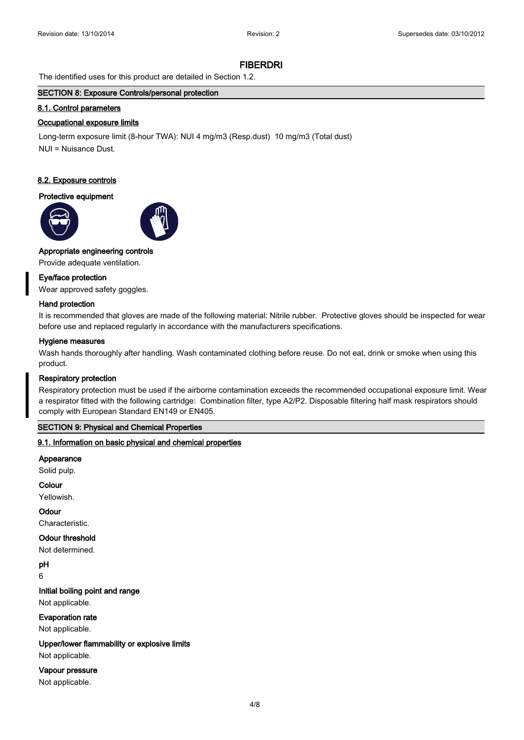The identified uses for this product are detailed in Section 1.2.

# **SECTION 8: Exposure Controls/personal protection**

#### **8.1. Control parameters**

#### **Occupational exposure limits**

Long-term exposure limit (8-hour TWA): NUI 4 mg/m3 (Resp.dust) 10 mg/m3 (Total dust) NUI = Nuisance Dust.

#### **8.2. Exposure controls**

# **Protective equipment**





# **Appropriate engineering controls**

Provide adequate ventilation.

#### **Eye/face protection**

Wear approved safety goggles.

#### **Hand protection**

It is recommended that gloves are made of the following material: Nitrile rubber. Protective gloves should be inspected for wear before use and replaced regularly in accordance with the manufacturers specifications.

#### **Hygiene measures**

Wash hands thoroughly after handling. Wash contaminated clothing before reuse. Do not eat, drink or smoke when using this product.

#### **Respiratory protection**

Respiratory protection must be used if the airborne contamination exceeds the recommended occupational exposure limit. Wear a respirator fitted with the following cartridge: Combination filter, type A2/P2. Disposable filtering half mask respirators should comply with European Standard EN149 or EN405.

# **SECTION 9: Physical and Chemical Properties**

#### **9.1. Information on basic physical and chemical properties**

#### **Appearance**

Solid pulp.

#### **Colour**

Yellowish.

#### **Odour**

Characteristic.

#### **Odour threshold**

Not determined.

**pH**

# 6

**Initial boiling point and range**

Not applicable.

#### **Evaporation rate**

Not applicable.

#### **Upper/lower flammability or explosive limits**

Not applicable.

#### **Vapour pressure**

Not applicable.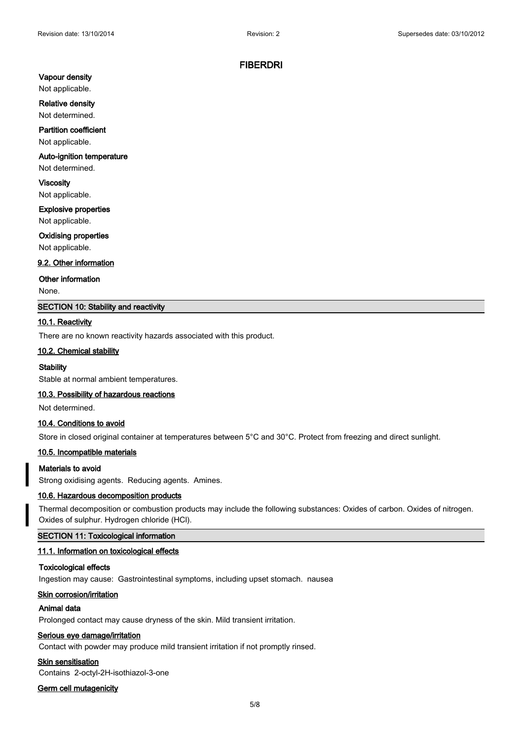# **Vapour density**

Not applicable.

#### **Relative density**

Not determined.

# **Partition coefficient**

Not applicable.

# **Auto-ignition temperature**

Not determined.

**Viscosity** Not applicable.

# **Explosive properties**

Not applicable.

#### **Oxidising properties**

Not applicable.

#### **9.2. Other information**

#### **Other information**

None.

# **SECTION 10: Stability and reactivity**

#### **10.1. Reactivity**

There are no known reactivity hazards associated with this product.

# **10.2. Chemical stability**

### **Stability**

Stable at normal ambient temperatures.

#### **10.3. Possibility of hazardous reactions**

Not determined.

# **10.4. Conditions to avoid**

Store in closed original container at temperatures between 5°C and 30°C. Protect from freezing and direct sunlight.

# **10.5. Incompatible materials**

#### **Materials to avoid**

Strong oxidising agents. Reducing agents. Amines.

#### **10.6. Hazardous decomposition products**

Thermal decomposition or combustion products may include the following substances: Oxides of carbon. Oxides of nitrogen. Oxides of sulphur. Hydrogen chloride (HCl).

# **SECTION 11: Toxicological information**

# **11.1. Information on toxicological effects**

### **Toxicological effects**

Ingestion may cause: Gastrointestinal symptoms, including upset stomach. nausea

#### **Skin corrosion/irritation**

#### **Animal data**

Prolonged contact may cause dryness of the skin. Mild transient irritation.

# **Serious eye damage/irritation**

Contact with powder may produce mild transient irritation if not promptly rinsed.

#### **Skin sensitisation**

Contains 2-octyl-2H-isothiazol-3-one

# **Germ cell mutagenicity**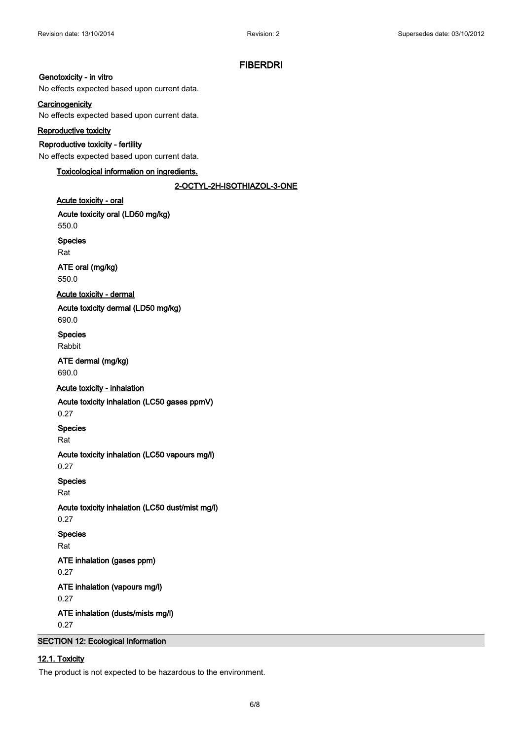# **Genotoxicity - in vitro**

No effects expected based upon current data.

# **Carcinogenicity**

No effects expected based upon current data.

# **Reproductive toxicity**

# **Reproductive toxicity - fertility**

No effects expected based upon current data.

# **Toxicological information on ingredients.**

# **2-OCTYL-2H-ISOTHIAZOL-3-ONE**

### **Acute toxicity - oral**

**Acute toxicity oral (LD50 mg/kg)**

550.0

**Species**

Rat

**ATE oral (mg/kg)** 550.0

### **Acute toxicity - dermal**

**Acute toxicity dermal (LD50 mg/kg)**

690.0

**Species** Rabbit

# **ATE dermal (mg/kg)** 690.0

# **Acute toxicity - inhalation**

**Acute toxicity inhalation (LC50 gases ppmV)**

0.27

**Species**

Rat

# **Acute toxicity inhalation (LC50 vapours mg/l)**

0.27

# **Species**

Rat

0.27

**Acute toxicity inhalation (LC50 dust/mist mg/l)**

# **Species**

Rat

**ATE inhalation (gases ppm)**

0.27

# **ATE inhalation (vapours mg/l)**

0.27

**ATE inhalation (dusts/mists mg/l)**

0.27

# **SECTION 12: Ecological Information**

# **12.1. Toxicity**

The product is not expected to be hazardous to the environment.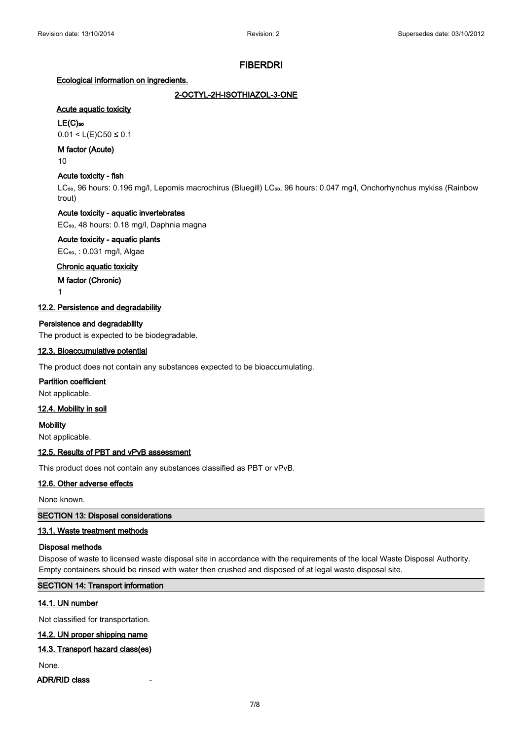# **Ecological information on ingredients.**

# **2-OCTYL-2H-ISOTHIAZOL-3-ONE**

# **Acute aquatic toxicity**

# **LE(C)₅₀**

 $0.01 < L(E)C50 \le 0.1$ 

# **M factor (Acute)**

10

# **Acute toxicity - fish**

LC<sub>50</sub>, 96 hours: 0.196 mg/l, Lepomis macrochirus (Bluegill) LC<sub>50</sub>, 96 hours: 0.047 mg/l, Onchorhynchus mykiss (Rainbow trout)

# **Acute toxicity - aquatic invertebrates**

EC<sub>50</sub>, 48 hours: 0.18 mg/l, Daphnia magna

# **Acute toxicity - aquatic plants**

EC₅₀, : 0.031 mg/l, Algae

# **Chronic aquatic toxicity**

**M factor (Chronic)**

1

# **12.2. Persistence and degradability**

# **Persistence and degradability**

The product is expected to be biodegradable.

# **12.3. Bioaccumulative potential**

The product does not contain any substances expected to be bioaccumulating.

# **Partition coefficient**

Not applicable.

# **12.4. Mobility in soil**

**Mobility** Not applicable.

# **12.5. Results of PBT and vPvB assessment**

This product does not contain any substances classified as PBT or vPvB.

# **12.6. Other adverse effects**

None known.

# **SECTION 13: Disposal considerations**

# **13.1. Waste treatment methods**

# **Disposal methods**

Dispose of waste to licensed waste disposal site in accordance with the requirements of the local Waste Disposal Authority. Empty containers should be rinsed with water then crushed and disposed of at legal waste disposal site.

# **SECTION 14: Transport information**

# **14.1. UN number**

Not classified for transportation.

# **14.2. UN proper shipping name**

# **14.3. Transport hazard class(es)**

None.

# **ADR/RID class**